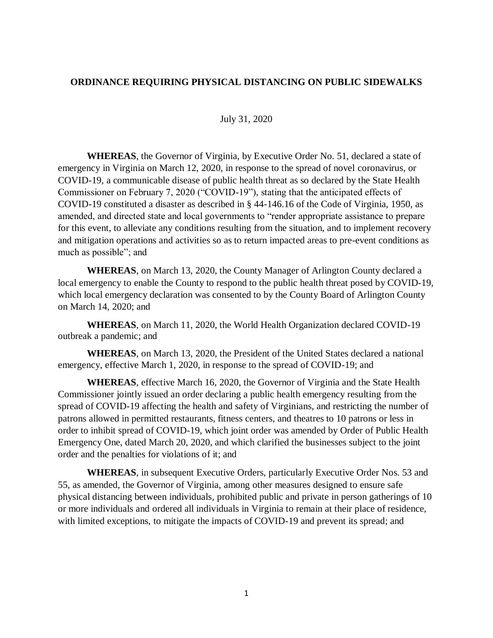## **ORDINANCE REQUIRING PHYSICAL DISTANCING ON PUBLIC SIDEWALKS**

## July 31, 2020

**WHEREAS**, the Governor of Virginia, by Executive Order No. 51, declared a state of emergency in Virginia on March 12, 2020, in response to the spread of novel coronavirus, or COVID-19, a communicable disease of public health threat as so declared by the State Health Commissioner on February 7, 2020 ("COVID-19"), stating that the anticipated effects of COVID-19 constituted a disaster as described in § 44-146.16 of the Code of Virginia, 1950, as amended, and directed state and local governments to "render appropriate assistance to prepare for this event, to alleviate any conditions resulting from the situation, and to implement recovery and mitigation operations and activities so as to return impacted areas to pre-event conditions as much as possible"; and

**WHEREAS**, on March 13, 2020, the County Manager of Arlington County declared a local emergency to enable the County to respond to the public health threat posed by COVID-19, which local emergency declaration was consented to by the County Board of Arlington County on March 14, 2020; and

**WHEREAS**, on March 11, 2020, the World Health Organization declared COVID-19 outbreak a pandemic; and

**WHEREAS**, on March 13, 2020, the President of the United States declared a national emergency, effective March 1, 2020, in response to the spread of COVID-19; and

**WHEREAS**, effective March 16, 2020, the Governor of Virginia and the State Health Commissioner jointly issued an order declaring a public health emergency resulting from the spread of COVID-19 affecting the health and safety of Virginians, and restricting the number of patrons allowed in permitted restaurants, fitness centers, and theatres to 10 patrons or less in order to inhibit spread of COVID-19, which joint order was amended by Order of Public Health Emergency One, dated March 20, 2020, and which clarified the businesses subject to the joint order and the penalties for violations of it; and

**WHEREAS**, in subsequent Executive Orders, particularly Executive Order Nos. 53 and 55, as amended, the Governor of Virginia, among other measures designed to ensure safe physical distancing between individuals, prohibited public and private in person gatherings of 10 or more individuals and ordered all individuals in Virginia to remain at their place of residence, with limited exceptions, to mitigate the impacts of COVID-19 and prevent its spread; and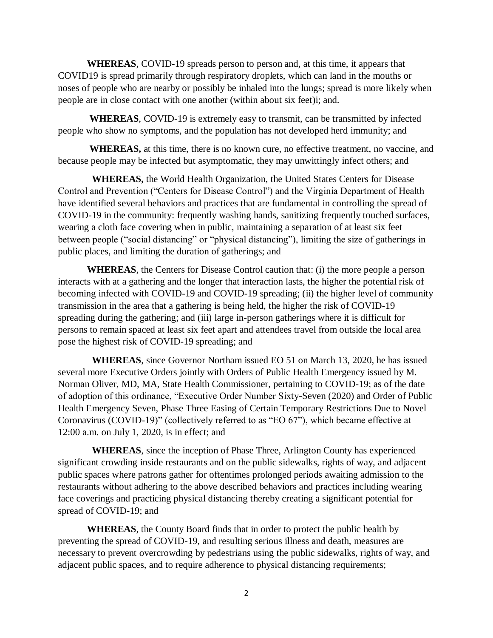**WHEREAS**, COVID-19 spreads person to person and, at this time, it appears that COVID19 is spread primarily through respiratory droplets, which can land in the mouths or noses of people who are nearby or possibly be inhaled into the lungs; spread is more likely when people are in close contact with one another (within about six feet)i; and.

**WHEREAS**, COVID-19 is extremely easy to transmit, can be transmitted by infected people who show no symptoms, and the population has not developed herd immunity; and

**WHEREAS,** at this time, there is no known cure, no effective treatment, no vaccine, and because people may be infected but asymptomatic, they may unwittingly infect others; and

 **WHEREAS,** the World Health Organization, the United States Centers for Disease Control and Prevention ("Centers for Disease Control") and the Virginia Department of Health have identified several behaviors and practices that are fundamental in controlling the spread of COVID-19 in the community: frequently washing hands, sanitizing frequently touched surfaces, wearing a cloth face covering when in public, maintaining a separation of at least six feet between people ("social distancing" or "physical distancing"), limiting the size of gatherings in public places, and limiting the duration of gatherings; and

**WHEREAS**, the Centers for Disease Control caution that: (i) the more people a person interacts with at a gathering and the longer that interaction lasts, the higher the potential risk of becoming infected with COVID-19 and COVID-19 spreading; (ii) the higher level of community transmission in the area that a gathering is being held, the higher the risk of COVID-19 spreading during the gathering; and (iii) large in-person gatherings where it is difficult for persons to remain spaced at least six feet apart and attendees travel from outside the local area pose the highest risk of COVID-19 spreading; and

 **WHEREAS**, since Governor Northam issued EO 51 on March 13, 2020, he has issued several more Executive Orders jointly with Orders of Public Health Emergency issued by M. Norman Oliver, MD, MA, State Health Commissioner, pertaining to COVID-19; as of the date of adoption of this ordinance, "Executive Order Number Sixty-Seven (2020) and Order of Public Health Emergency Seven, Phase Three Easing of Certain Temporary Restrictions Due to Novel Coronavirus (COVID-19)" (collectively referred to as "EO 67"), which became effective at 12:00 a.m. on July 1, 2020, is in effect; and

 **WHEREAS**, since the inception of Phase Three, Arlington County has experienced significant crowding inside restaurants and on the public sidewalks, rights of way, and adjacent public spaces where patrons gather for oftentimes prolonged periods awaiting admission to the restaurants without adhering to the above described behaviors and practices including wearing face coverings and practicing physical distancing thereby creating a significant potential for spread of COVID-19; and

**WHEREAS**, the County Board finds that in order to protect the public health by preventing the spread of COVID-19, and resulting serious illness and death, measures are necessary to prevent overcrowding by pedestrians using the public sidewalks, rights of way, and adjacent public spaces, and to require adherence to physical distancing requirements;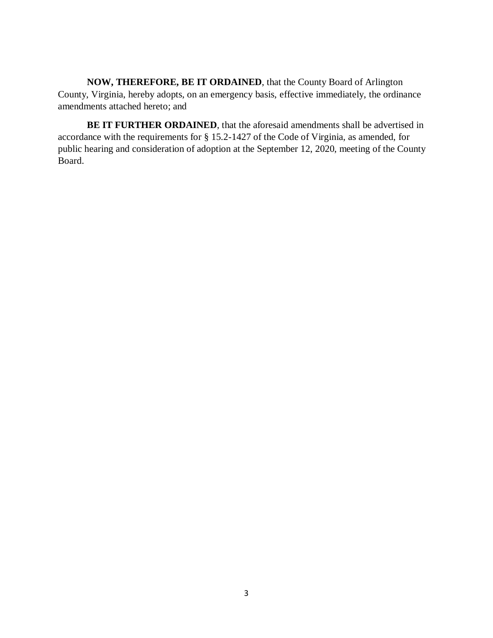**NOW, THEREFORE, BE IT ORDAINED**, that the County Board of Arlington County, Virginia, hereby adopts, on an emergency basis, effective immediately, the ordinance amendments attached hereto; and

**BE IT FURTHER ORDAINED**, that the aforesaid amendments shall be advertised in accordance with the requirements for § 15.2-1427 of the Code of Virginia, as amended, for public hearing and consideration of adoption at the September 12, 2020, meeting of the County Board.